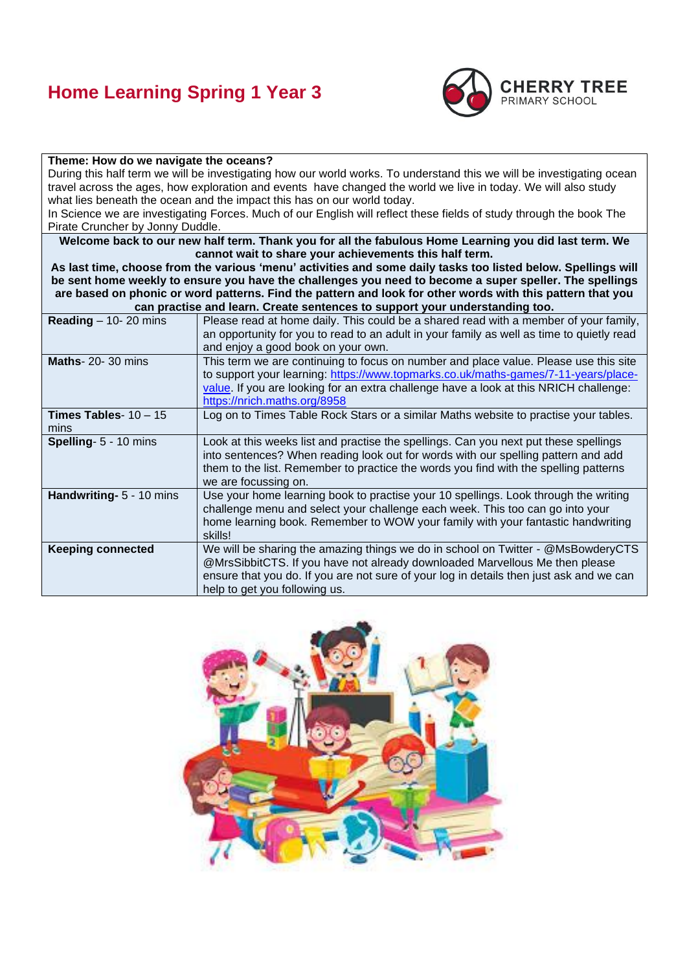# **Home Learning Spring 1 Year 3**



#### **Theme: How do we navigate the oceans?**

During this half term we will be investigating how our world works. To understand this we will be investigating ocean travel across the ages, how exploration and events have changed the world we live in today. We will also study what lies beneath the ocean and the impact this has on our world today.

In Science we are investigating Forces. Much of our English will reflect these fields of study through the book The Pirate Cruncher by Jonny Duddle.

**Welcome back to our new half term. Thank you for all the fabulous Home Learning you did last term. We cannot wait to share your achievements this half term.**

**As last time, choose from the various 'menu' activities and some daily tasks too listed below. Spellings will be sent home weekly to ensure you have the challenges you need to become a super speller. The spellings are based on phonic or word patterns. Find the pattern and look for other words with this pattern that you can practise and learn. Create sentences to support your understanding too.**

| <u>can practise and learn. Oreale sentences to support your understanding too.</u> |                                                                                           |  |
|------------------------------------------------------------------------------------|-------------------------------------------------------------------------------------------|--|
| <b>Reading</b> $-$ 10- 20 mins                                                     | Please read at home daily. This could be a shared read with a member of your family,      |  |
|                                                                                    | an opportunity for you to read to an adult in your family as well as time to quietly read |  |
|                                                                                    | and enjoy a good book on your own.                                                        |  |
| <b>Maths-20-30 mins</b>                                                            | This term we are continuing to focus on number and place value. Please use this site      |  |
|                                                                                    | to support your learning: https://www.topmarks.co.uk/maths-games/7-11-years/place-        |  |
|                                                                                    | value. If you are looking for an extra challenge have a look at this NRICH challenge:     |  |
|                                                                                    | https://nrich.maths.org/8958                                                              |  |
| <b>Times Tables-</b> $10 - 15$                                                     | Log on to Times Table Rock Stars or a similar Maths website to practise your tables.      |  |
| mins                                                                               |                                                                                           |  |
| Spelling- 5 - 10 mins                                                              | Look at this weeks list and practise the spellings. Can you next put these spellings      |  |
|                                                                                    | into sentences? When reading look out for words with our spelling pattern and add         |  |
|                                                                                    | them to the list. Remember to practice the words you find with the spelling patterns      |  |
|                                                                                    | we are focussing on.                                                                      |  |
| Handwriting- 5 - 10 mins                                                           | Use your home learning book to practise your 10 spellings. Look through the writing       |  |
|                                                                                    | challenge menu and select your challenge each week. This too can go into your             |  |
|                                                                                    | home learning book. Remember to WOW your family with your fantastic handwriting           |  |
|                                                                                    | skills!                                                                                   |  |
| <b>Keeping connected</b>                                                           | We will be sharing the amazing things we do in school on Twitter - @MsBowderyCTS          |  |
|                                                                                    | @MrsSibbitCTS. If you have not already downloaded Marvellous Me then please               |  |
|                                                                                    | ensure that you do. If you are not sure of your log in details then just ask and we can   |  |
|                                                                                    | help to get you following us.                                                             |  |
|                                                                                    |                                                                                           |  |

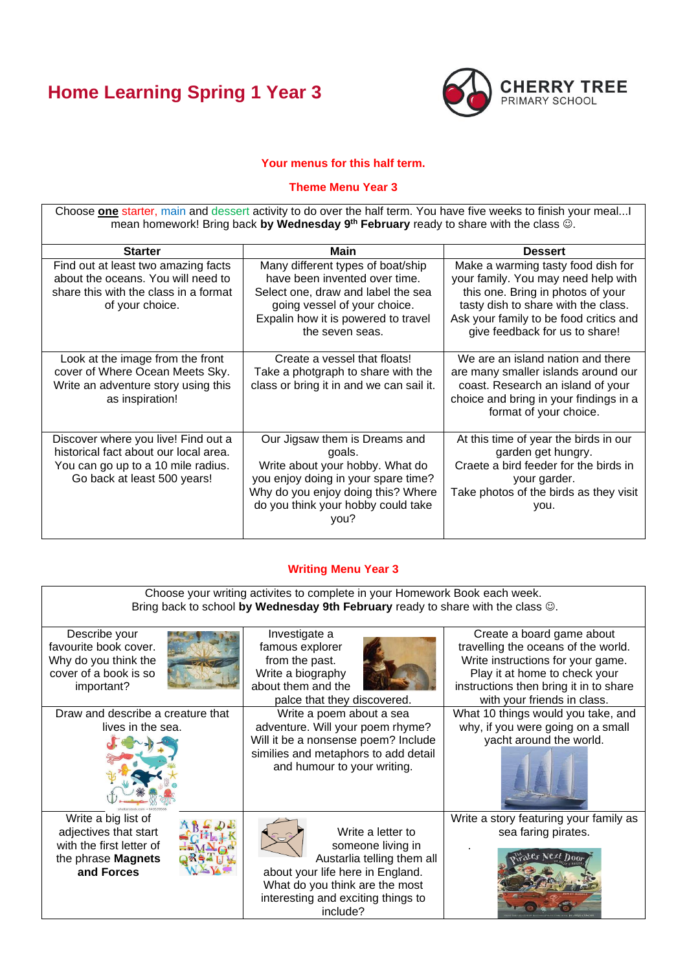# **Home Learning Spring 1 Year 3**



## **Your menus for this half term.**

## **Theme Menu Year 3**

Choose **one** starter, main and dessert activity to do over the half term. You have five weeks to finish your meal...I mean homework! Bring back **by Wednesday 9 th February** ready to share with the class ☺.

| <b>Starter</b>                                                                                                                                    | Main                                                                                                                                                                                                  | <b>Dessert</b>                                                                                                                                                                                                                    |
|---------------------------------------------------------------------------------------------------------------------------------------------------|-------------------------------------------------------------------------------------------------------------------------------------------------------------------------------------------------------|-----------------------------------------------------------------------------------------------------------------------------------------------------------------------------------------------------------------------------------|
| Find out at least two amazing facts<br>about the oceans. You will need to<br>share this with the class in a format<br>of your choice.             | Many different types of boat/ship<br>have been invented over time.<br>Select one, draw and label the sea<br>going vessel of your choice.<br>Expalin how it is powered to travel<br>the seven seas.    | Make a warming tasty food dish for<br>your family. You may need help with<br>this one. Bring in photos of your<br>tasty dish to share with the class.<br>Ask your family to be food critics and<br>give feedback for us to share! |
| Look at the image from the front<br>cover of Where Ocean Meets Sky.<br>Write an adventure story using this<br>as inspiration!                     | Create a vessel that floats!<br>Take a photgraph to share with the<br>class or bring it in and we can sail it.                                                                                        | We are an island nation and there<br>are many smaller islands around our<br>coast. Research an island of your<br>choice and bring in your findings in a<br>format of your choice.                                                 |
| Discover where you live! Find out a<br>historical fact about our local area.<br>You can go up to a 10 mile radius.<br>Go back at least 500 years! | Our Jigsaw them is Dreams and<br>goals.<br>Write about your hobby. What do<br>you enjoy doing in your spare time?<br>Why do you enjoy doing this? Where<br>do you think your hobby could take<br>you? | At this time of year the birds in our<br>garden get hungry.<br>Craete a bird feeder for the birds in<br>your garder.<br>Take photos of the birds as they visit<br>you.                                                            |

## **Writing Menu Year 3**

Choose your writing activites to complete in your Homework Book each week. Bring back to school **by Wednesday 9th February** ready to share with the class ☺. Create a board game about Describe your Investigate a favourite book cover. famous explorer travelling the oceans of the world. Why do you think the from the past. Write instructions for your game. cover of a book is so Write a biography Play it at home to check your important? about them and the instructions then bring it in to share palce that they discovered. with your friends in class. Draw and describe a creature that Write a poem about a sea What 10 things would you take, and adventure. Will your poem rhyme? why, if you were going on a small lives in the sea. Will it be a nonsense poem? Include yacht around the world. similies and metaphors to add detail and humour to your writing. Write a big list of Write a story featuring your family as adjectives that start Write a letter to sea faring pirates. .+K with the first letter of someone living in .the phrase **Magnets**  Austarlia telling them all **and Forces** about your life here in England. What do you think are the most interesting and exciting things to include?